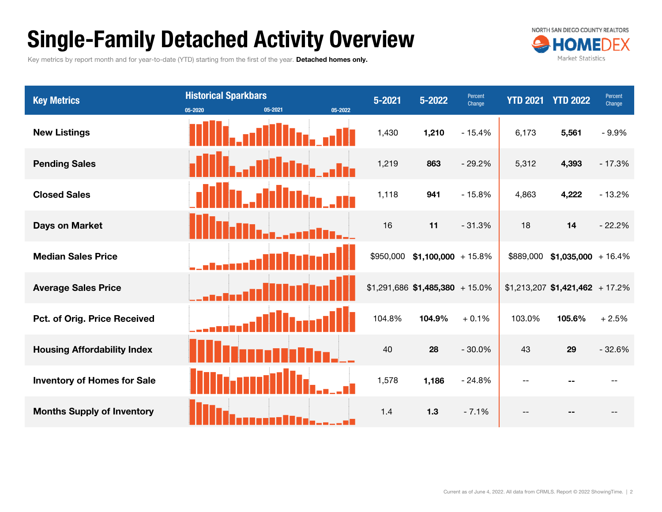## Single-Family Detached Activity Overview

Key metrics by report month and for year-to-date (YTD) starting from the first of the year. Detached homes only.



| <b>Key Metrics</b>                 | <b>Historical Sparkbars</b><br>05-2021<br>05-2022<br>05-2020 | $5 - 2021$ | $5 - 2022$                       | Percent<br>Change | <b>YTD 2021</b> | <b>YTD 2022</b>                   | Percent<br>Change |
|------------------------------------|--------------------------------------------------------------|------------|----------------------------------|-------------------|-----------------|-----------------------------------|-------------------|
| <b>New Listings</b>                |                                                              | 1,430      | 1,210                            | $-15.4%$          | 6,173           | 5,561                             | $-9.9%$           |
| <b>Pending Sales</b>               |                                                              | 1,219      | 863                              | $-29.2%$          | 5,312           | 4,393                             | $-17.3%$          |
| <b>Closed Sales</b>                |                                                              | 1,118      | 941                              | $-15.8%$          | 4,863           | 4,222                             | $-13.2%$          |
| Days on Market                     |                                                              | 16         | 11                               | $-31.3%$          | 18              | 14                                | $-22.2%$          |
| <b>Median Sales Price</b>          |                                                              |            | $$950,000$ \$1,100,000 + 15.8%   |                   |                 | $$889,000$ \$1,035,000 + 16.4%    |                   |
| <b>Average Sales Price</b>         |                                                              |            | $$1,291,686$ \$1,485,380 + 15.0% |                   |                 | $$1,213,207$ $$1,421,462$ + 17.2% |                   |
| Pct. of Orig. Price Received       |                                                              | 104.8%     | 104.9%                           | $+0.1%$           | 103.0%          | 105.6%                            | $+2.5%$           |
| <b>Housing Affordability Index</b> |                                                              | 40         | 28                               | $-30.0%$          | 43              | 29                                | $-32.6%$          |
| <b>Inventory of Homes for Sale</b> |                                                              | 1,578      | 1,186                            | $-24.8%$          | $-$             |                                   |                   |
| <b>Months Supply of Inventory</b>  |                                                              | 1.4        | 1.3                              | $-7.1%$           |                 |                                   |                   |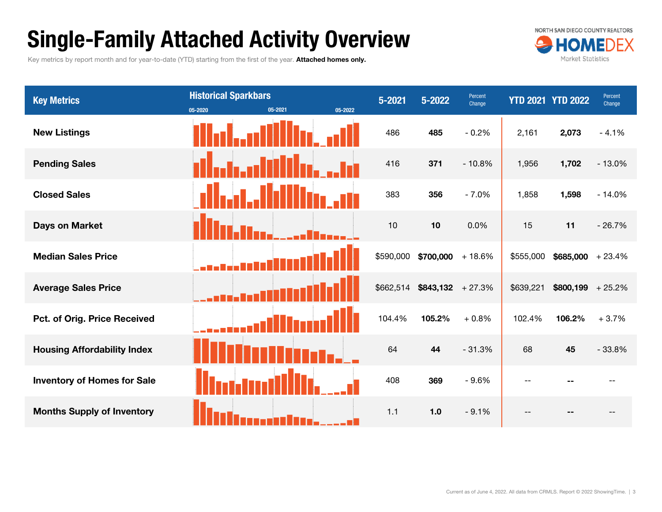## Single-Family Attached Activity Overview

Key metrics by report month and for year-to-date (YTD) starting from the first of the year. Attached homes only.



| <b>Key Metrics</b>                  | <b>Historical Sparkbars</b><br>05-2021<br>05-2022<br>05-2020 | $5 - 2021$ | $5 - 2022$          | Percent<br>Change |           | <b>YTD 2021 YTD 2022</b> | Percent<br>Change |
|-------------------------------------|--------------------------------------------------------------|------------|---------------------|-------------------|-----------|--------------------------|-------------------|
| <b>New Listings</b>                 |                                                              | 486        | 485                 | $-0.2%$           | 2,161     | 2,073                    | $-4.1%$           |
| <b>Pending Sales</b>                |                                                              | 416        | 371                 | $-10.8%$          | 1,956     | 1,702                    | $-13.0%$          |
| <b>Closed Sales</b>                 |                                                              | 383        | 356                 | $-7.0%$           | 1,858     | 1,598                    | $-14.0%$          |
| <b>Days on Market</b>               |                                                              | 10         | 10                  | 0.0%              | 15        | 11                       | $-26.7%$          |
| <b>Median Sales Price</b>           |                                                              | \$590,000  | $$700,000 + 18.6\%$ |                   | \$555,000 | $$685,000 + 23.4\%$      |                   |
| <b>Average Sales Price</b>          |                                                              | \$662,514  | $$843,132$ + 27.3%  |                   | \$639,221 | $$800,199 + 25.2\%$      |                   |
| <b>Pct. of Orig. Price Received</b> |                                                              | 104.4%     | 105.2%              | $+0.8%$           | 102.4%    | 106.2%                   | $+3.7%$           |
| <b>Housing Affordability Index</b>  |                                                              | 64         | 44                  | $-31.3%$          | 68        | 45                       | $-33.8%$          |
| <b>Inventory of Homes for Sale</b>  |                                                              | 408        | 369                 | $-9.6%$           | $- -$     |                          |                   |
| <b>Months Supply of Inventory</b>   |                                                              | 1.1        | 1.0                 | $-9.1%$           |           |                          |                   |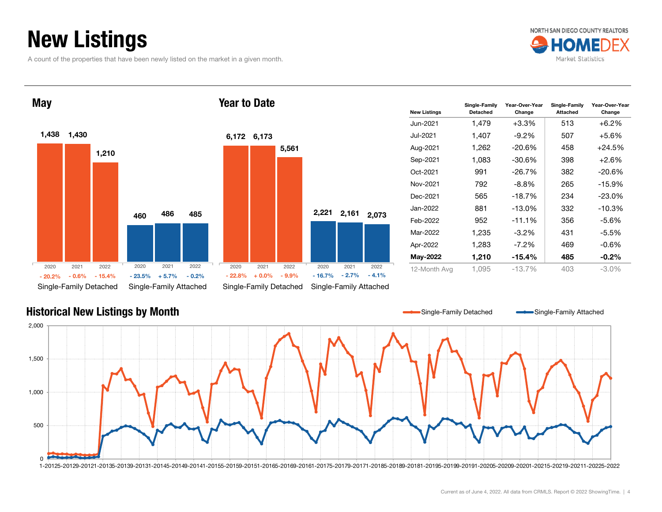## New Listings

A count of the properties that have been newly listed on the market in a given month.







| <b>New Listings</b> | Single-Family<br>Detached | Year-Over-Year<br>Change | Single-Family<br><b>Attached</b> | Year-Over-Year<br>Change |
|---------------------|---------------------------|--------------------------|----------------------------------|--------------------------|
| Jun-2021            | 1,479                     | +3.3%                    | 513                              | $+6.2\%$                 |
| Jul-2021            | 1,407                     | $-9.2\%$                 | 507                              | +5.6%                    |
| Aug-2021            | 1,262                     | -20.6%                   | 458                              | $+24.5%$                 |
| Sep-2021            | 1,083                     | $-30.6%$                 | 398                              | +2.6%                    |
| Oct-2021            | 991                       | $-26.7%$                 | 382                              | $-20.6%$                 |
| Nov-2021            | 792                       | -8.8%                    | 265                              | -15.9%                   |
| Dec-2021            | 565                       | $-18.7%$                 | 234                              | $-23.0\%$                |
| Jan-2022            | 881                       | $-13.0%$                 | 332                              | $-10.3%$                 |
| Feb-2022            | 952                       | $-11.1%$                 | 356                              | -5.6%                    |
| Mar-2022            | 1,235                     | $-3.2\%$                 | 431                              | -5.5%                    |
| Apr-2022            | 1,283                     | $-7.2\%$                 | 469                              | $-0.6\%$                 |
| May-2022            | 1,210                     | $-15.4%$                 | 485                              | $-0.2\%$                 |
| 12-Month Avg        | 1.095                     | $-13.7%$                 | 403                              | $-3.0\%$                 |



#### Year to Date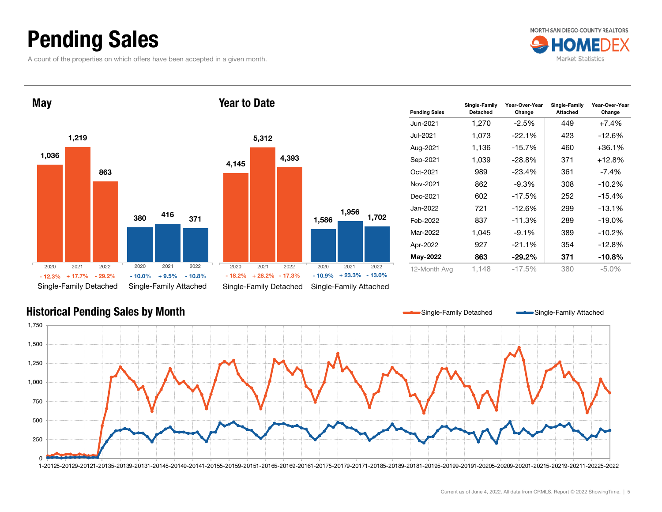## Pending Sales

A count of the properties on which offers have been accepted in a given month.





| יטעו נט בענט |          |                        |          |                        |          |                |
|--------------|----------|------------------------|----------|------------------------|----------|----------------|
|              |          |                        |          |                        |          | Pe             |
|              |          |                        |          |                        |          | Ju             |
|              | 5,312    |                        |          |                        |          | Ju             |
|              |          |                        |          |                        |          | Αι             |
| 4,145        |          | 4,393                  |          |                        |          | S6             |
|              |          |                        |          |                        |          | Ö              |
|              |          |                        |          |                        |          | N <sub>o</sub> |
|              |          |                        |          |                        |          | De             |
|              |          |                        |          | 1,956                  |          | Ja             |
|              |          |                        | 1,586    |                        | 1,702    | Fe             |
|              |          |                        |          |                        |          | M              |
|              |          |                        |          |                        |          | Ap             |
|              |          |                        |          |                        |          | M              |
| 2020         | 2021     | 2022                   | 2020     | 2021                   | 2022     | 12             |
| $-18.2%$     | $+28.2%$ | $-17.3%$               | $-10.9%$ | $+23.3%$               | $-13.0%$ |                |
|              |          | Single-Family Detached |          | Single-Family Attached |          |                |

| <b>Pending Sales</b> | Single-Family<br><b>Detached</b> | Year-Over-Year<br>Change | Single-Family<br><b>Attached</b> | Year-Over-Year<br>Change |
|----------------------|----------------------------------|--------------------------|----------------------------------|--------------------------|
| Jun-2021             | 1,270                            | -2.5%                    | 449                              | +7.4%                    |
| Jul-2021             | 1,073                            | $-22.1%$                 | 423                              | $-12.6%$                 |
| Aug-2021             | 1,136                            | $-15.7%$                 | 460                              | $+36.1%$                 |
| Sep-2021             | 1,039                            | $-28.8%$                 | 371                              | $+12.8%$                 |
| Oct-2021             | 989                              | $-23.4\%$                | 361                              | -7.4%                    |
| Nov-2021             | 862                              | -9.3%                    | 308                              | $-10.2%$                 |
| Dec-2021             | 602                              | $-17.5%$                 | 252                              | $-15.4%$                 |
| Jan-2022.            | 721                              | $-12.6%$                 | 299                              | $-13.1%$                 |
| Feb-2022             | 837                              | $-11.3%$                 | 289                              | $-19.0%$                 |
| Mar-2022             | 1.045                            | $-9.1%$                  | 389                              | $-10.2%$                 |
| Apr-2022             | 927                              | $-21.1%$                 | 354                              | $-12.8%$                 |
| May-2022             | 863                              | $-29.2\%$                | 371                              | $-10.8%$                 |
| 12-Month Avg         | 1.148                            | $-17.5%$                 | 380                              | $-5.0\%$                 |



#### Current as of June 4, 2022. All data from CRMLS. Report © 2022 ShowingTime. | 5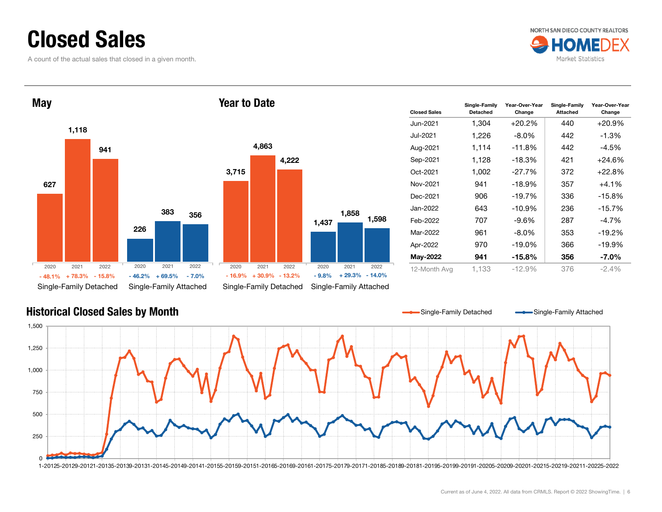#### Closed Sales

A count of the actual sales that closed in a given month.



6272261,118 383941356Single-Family Detached Single-Family Attached **May** 3,715 1,437 4,863 1,858 4,222 Single-Family Detached Single-Family Attached Year to Date2020 2021 2022 $-48.1\%$  +  $78.3\%$  $\%$  + 78.3% - 15.8% - 46.2% + 69.5% - 7.0% - 16.9% + 30.9% - 13.2% - 9.8% + 29.3% - 14.0% 2020 2021 2022 20202021 2022 2020 2021 2022

| <b>Closed Sales</b> | Single-Family<br><b>Detached</b> | Year-Over-Year<br>Change | Single-Family<br><b>Attached</b> | Year-Over-Year<br>Change |
|---------------------|----------------------------------|--------------------------|----------------------------------|--------------------------|
| Jun-2021            | 1,304                            | $+20.2\%$                | 440                              | $+20.9%$                 |
| Jul-2021.           | 1,226                            | -8.0%                    | 442                              | -1.3%                    |
| Aug-2021            | 1,114                            | $-11.8%$                 | 442                              | $-4.5%$                  |
| Sep-2021            | 1,128                            | $-18.3%$                 | 421                              | $+24.6%$                 |
| Oct-2021            | 1,002                            | $-27.7\%$                | 372                              | $+22.8%$                 |
| Nov-2021            | 941                              | $-18.9%$                 | 357                              | $+4.1%$                  |
| Dec-2021            | 906                              | $-19.7\%$                | 336                              | $-15.8%$                 |
| Jan-2022.           | 643                              | $-10.9%$                 | 236                              | $-15.7%$                 |
| Feb-2022            | 707                              | $-9.6%$                  | 287                              | $-4.7\%$                 |
| Mar-2022            | 961                              | $-8.0\%$                 | 353                              | $-19.2%$                 |
| Apr-2022            | 970                              | $-19.0%$                 | 366                              | $-19.9\%$                |
| May-2022            | 941                              | $-15.8\%$                | 356                              | -7.0%                    |
| 12-Month Avg        | 1,133                            | $-12.9%$                 | 376                              | $-2.4\%$                 |



1,598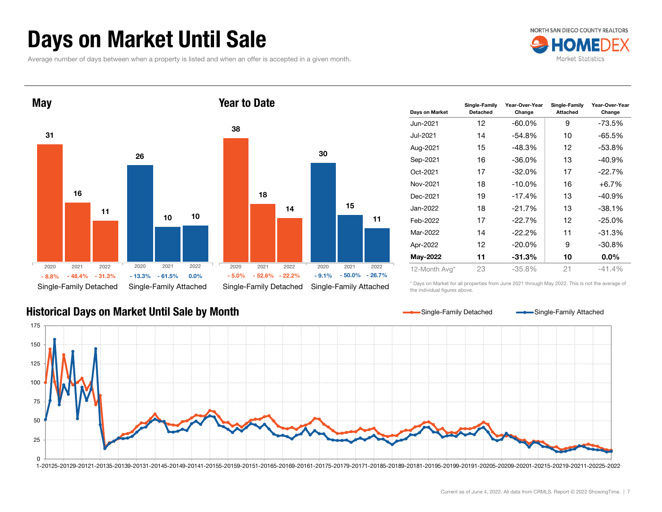## Days on Market Until Sale

Average number of days between when a property is listed and when an offer is accepted in a given month.





| Days on Market | Single-Family<br><b>Detached</b> | Year-Over-Year<br>Change | Single-Family<br>Attached | Year-Over-Year<br>Change |
|----------------|----------------------------------|--------------------------|---------------------------|--------------------------|
| Jun-2021       | 12                               | $-60.0\%$                | 9                         | $-73.5%$                 |
| Jul-2021       | 14                               | -54.8%                   | 10                        | $-65.5%$                 |
| Aug-2021       | 15                               | $-48.3%$                 | 12                        | $-53.8%$                 |
| Sep-2021       | 16                               | $-36.0%$                 | 13                        | $-40.9%$                 |
| Oct-2021       | 17                               | $-32.0%$                 | 17                        | $-22.7%$                 |
| Nov-2021       | 18                               | $-10.0\%$                | 16                        | $+6.7%$                  |
| Dec-2021       | 19                               | $-17.4%$                 | 13                        | $-40.9%$                 |
| Jan-2022       | 18                               | $-21.7%$                 | 13                        | $-38.1%$                 |
| Feb-2022       | 17                               | $-22.7%$                 | 12                        | $-25.0%$                 |
| Mar-2022       | 14                               | $-22.2\%$                | 11                        | $-31.3%$                 |
| Apr-2022       | 12                               | $-20.0\%$                | 9                         | $-30.8%$                 |
| May-2022       | 11                               | $-31.3%$                 | 10                        | $0.0\%$                  |
| 12-Month Avg*  | 23                               | $-35.8\%$                | 21                        | $-41.4\%$                |

Historical Days on Market Until Sale by Month

\* Days on Market for all properties from June 2021 through May 2022. This is not the average of the individual figures above.



11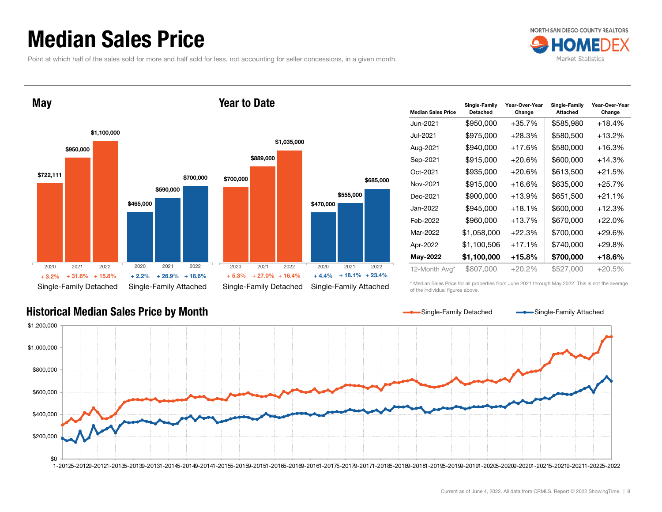#### Median Sales Price

Point at which half of the sales sold for more and half sold for less, not accounting for seller concessions, in a given month.



\$722,111 \$465,000 \$950,000 \$590,000 \$1,100,000 \$700,000 Single-Family Detached Single-Family Attached **May** \$700,000 \$470,000 \$889,000 \$555,000 \$1,035,000 Single-Family Detached Single-Family Attached Year to Date2020 2021 2022+ 31.6% $\%$  + 31.6% + 15.8% + 2.2% + 26.9% + 18.6% + 5.3% + 27.0% + 16.4% + 4.4% + 18.1% + 23.4% 2020 2021 2022 2020 2021 2022 2020 2021 2022  $+3.2%$ 

| <b>Median Sales Price</b> | Single-Family<br><b>Detached</b> | Year-Over-Year<br>Change | Single-Family<br><b>Attached</b> | Year-Over-Year<br>Change |
|---------------------------|----------------------------------|--------------------------|----------------------------------|--------------------------|
| Jun-2021                  | \$950,000                        | $+35.7%$                 | \$585,980                        | $+18.4%$                 |
| Jul-2021                  | \$975,000                        | $+28.3%$                 | \$580,500                        | +13.2%                   |
| Aug-2021                  | \$940,000                        | +17.6%                   | \$580,000                        | +16.3%                   |
| Sep-2021                  | \$915,000                        | $+20.6%$                 | \$600,000                        | $+14.3%$                 |
| Oct-2021                  | \$935,000                        | $+20.6%$                 | \$613,500                        | $+21.5%$                 |
| Nov-2021                  | \$915,000                        | $+16.6%$                 | \$635,000                        | $+25.7%$                 |
| Dec-2021                  | \$900,000                        | $+13.9%$                 | \$651,500                        | $+21.1%$                 |
| Jan-2022                  | \$945,000                        | $+18.1%$                 | \$600,000                        | $+12.3%$                 |
| Feb-2022                  | \$960,000                        | $+13.7%$                 | \$670,000                        | $+22.0%$                 |
| Mar-2022                  | \$1,058,000                      | $+22.3%$                 | \$700,000                        | $+29.6%$                 |
| Apr-2022                  | \$1,100,506                      | $+17.1%$                 | \$740,000                        | $+29.8%$                 |
| May-2022                  | \$1,100,000                      | +15.8%                   | \$700,000                        | +18.6%                   |
| 12-Month Avg*             | \$807,000                        | $+20.2%$                 | \$527,000                        | $+20.5%$                 |

Historical Median Sales Price by Month

\* Median Sales Price for all properties from June 2021 through May 2022. This is not the average of the individual figures above.



\$685,000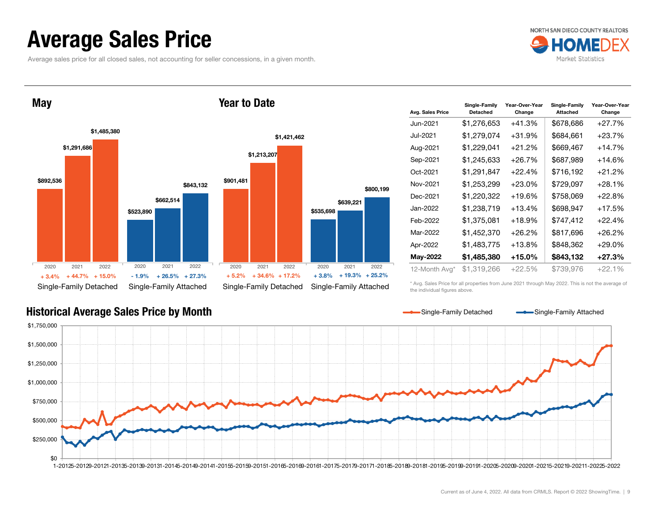#### Average Sales Price

Average sales price for all closed sales, not accounting for seller concessions, in a given month.



**May** 





| Avg. Sales Price | Single-Family<br><b>Detached</b> | Year-Over-Year<br>Change | Single-Family<br><b>Attached</b> | Year-Over-Year<br>Change |
|------------------|----------------------------------|--------------------------|----------------------------------|--------------------------|
| Jun-2021         | \$1,276,653                      | $+41.3%$                 | \$678,686                        | $+27.7%$                 |
| Jul-2021         | \$1,279,074                      | $+31.9%$                 | \$684,661                        | $+23.7%$                 |
| Aug-2021         | \$1,229,041                      | $+21.2%$                 | \$669,467                        | $+14.7\%$                |
| Sep-2021         | \$1,245,633                      | $+26.7%$                 | \$687,989                        | $+14.6%$                 |
| Oct-2021         | \$1,291,847                      | $+22.4%$                 | \$716,192                        | $+21.2\%$                |
| Nov-2021         | \$1,253,299                      | $+23.0%$                 | \$729,097                        | $+28.1%$                 |
| Dec-2021         | \$1,220,322                      | $+19.6%$                 | \$758,069                        | $+22.8%$                 |
| Jan-2022         | \$1,238,719                      | $+13.4%$                 | \$698,947                        | $+17.5%$                 |
| Feb-2022         | \$1,375,081                      | $+18.9%$                 | \$747,412                        | $+22.4%$                 |
| Mar-2022         | \$1,452,370                      | $+26.2%$                 | \$817,696                        | $+26.2%$                 |
| Apr-2022         | \$1,483,775                      | $+13.8%$                 | \$848.362                        | $+29.0%$                 |
| May-2022         | \$1,485,380                      | +15.0%                   | \$843,132                        | $+27.3%$                 |
| 12-Month Avg*    | \$1.319.266                      | $+22.5%$                 | \$739,976                        | $+22.1%$                 |

\* Avg. Sales Price for all properties from June 2021 through May 2022. This is not the average of the individual figures above.



Current as of June 4, 2022. All data from CRMLS. Report © 2022 ShowingTime. | 9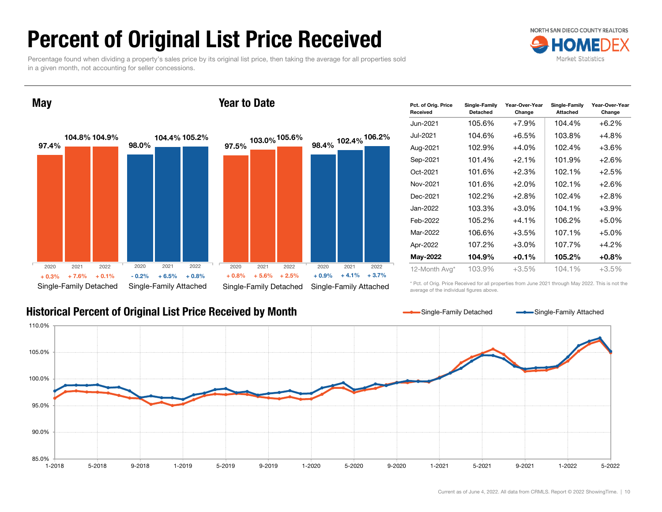## Percent of Original List Price Received

Percentage found when dividing a property's sales price by its original list price, then taking the average for all properties sold in a given month, not accounting for seller concessions.



**May** 

#### Year to Date



#### Historical Percent of Original List Price Received by Month

| Pct. of Orig. Price<br>Received | Single-Family<br>Detached | Year-Over-Year<br>Change | Single-Family<br><b>Attached</b> | Year-Over-Year<br>Change |
|---------------------------------|---------------------------|--------------------------|----------------------------------|--------------------------|
| Jun-2021                        | 105.6%                    | $+7.9%$                  | 104.4%                           | $+6.2%$                  |
| Jul-2021                        | 104.6%                    | +6.5%                    | 103.8%                           | $+4.8%$                  |
| Aug-2021                        | 102.9%                    | $+4.0%$                  | 102.4%                           | $+3.6\%$                 |
| Sep-2021                        | 101.4%                    | $+2.1%$                  | 101.9%                           | $+2.6%$                  |
| Oct-2021                        | 101.6%                    | $+2.3%$                  | 102.1%                           | $+2.5%$                  |
| Nov-2021                        | 101.6%                    | $+2.0\%$                 | 102.1%                           | $+2.6%$                  |
| Dec-2021                        | 102.2%                    | $+2.8%$                  | 102.4%                           | $+2.8\%$                 |
| Jan-2022                        | 103.3%                    | +3.0%                    | 104.1%                           | $+3.9\%$                 |
| Feb-2022                        | 105.2%                    | +4.1%                    | 106.2%                           | $+5.0%$                  |
| Mar-2022                        | 106.6%                    | $+3.5%$                  | 107.1%                           | $+5.0%$                  |
| Apr-2022                        | 107.2%                    | $+3.0\%$                 | 107.7%                           | $+4.2%$                  |
| May-2022                        | 104.9%                    | $+0.1%$                  | 105.2%                           | $+0.8%$                  |
| 12-Month Avg*                   | 103.9%                    | $+3.5%$                  | 104.1%                           | +3.5%                    |

\* Pct. of Orig. Price Received for all properties from June 2021 through May 2022. This is not the average of the individual figures above.

Single-Family Detached Single-Family Attached

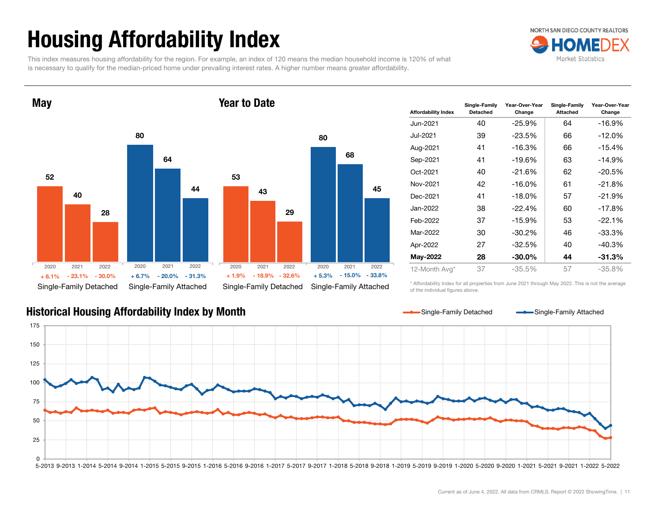# Housing Affordability Index

This index measures housing affordability for the region. For example, an index of 120 means the median household income is 120% of what is necessary to qualify for the median-priced home under prevailing interest rates. A higher number means greater affordability.



Year to Date



| Affordability Index | Single-Family<br>Detached | Year-Over-Year<br>Change | Single-Family<br><b>Attached</b> | Year-Over-Year<br>Change |
|---------------------|---------------------------|--------------------------|----------------------------------|--------------------------|
| Jun-2021            | 40                        | -25.9%                   | 64                               | -16.9%                   |
| Jul-2021            | 39                        | $-23.5%$                 | 66                               | $-12.0\%$                |
| Aug-2021            | 41                        | $-16.3%$                 | 66                               | -15.4%                   |
| Sep-2021            | 41                        | $-19.6%$                 | 63                               | $-14.9%$                 |
| Oct-2021            | 40                        | $-21.6%$                 | 62                               | $-20.5%$                 |
| Nov-2021            | 42                        | $-16.0\%$                | 61                               | $-21.8%$                 |
| Dec-2021            | 41                        | $-18.0\%$                | 57                               | $-21.9%$                 |
| Jan-2022            | 38                        | $-22.4%$                 | 60                               | $-17.8%$                 |
| Feb-2022            | 37                        | $-15.9%$                 | 53                               | $-22.1%$                 |
| Mar-2022            | 30                        | $-30.2\%$                | 46                               | -33.3%                   |
| Apr-2022            | 27                        | $-32.5%$                 | 40                               | $-40.3%$                 |
| May-2022            | 28                        | $-30.0\%$                | 44                               | $-31.3%$                 |
| 12-Month Avg*       | 37                        | $-35.5%$                 | 57                               | $-35.8%$                 |

\* Affordability Index for all properties from June 2021 through May 2022. This is not the average of the individual figures above.

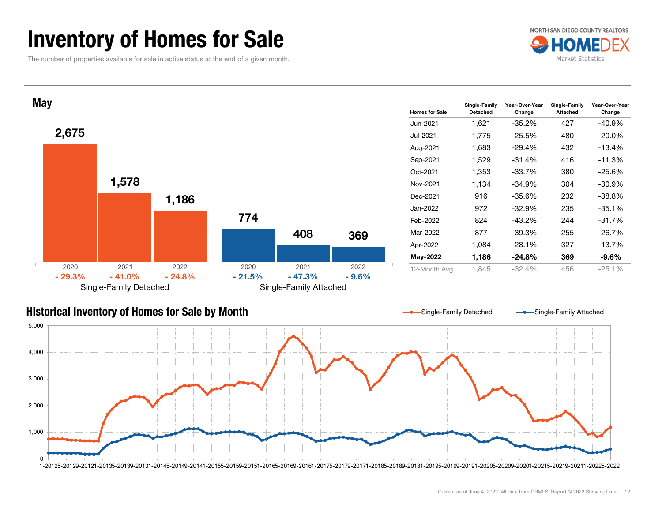#### Inventory of Homes for Sale

The number of properties available for sale in active status at the end of a given month.





#### Historical Inventory of Homes for Sale by Month



Single-Family Detached Single-Family Attached